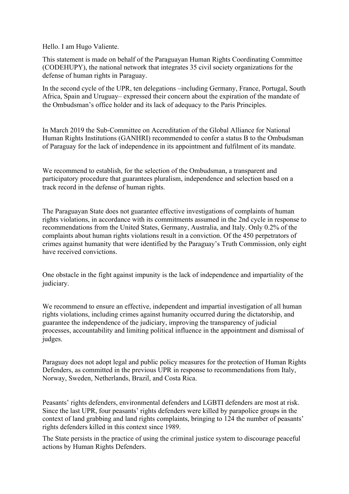Hello. I am Hugo Valiente.

This statement is made on behalf of the Paraguayan Human Rights Coordinating Committee (CODEHUPY), the national network that integrates 35 civil society organizations for the defense of human rights in Paraguay.

In the second cycle of the UPR, ten delegations –including Germany, France, Portugal, South Africa, Spain and Uruguay– expressed their concern about the expiration of the mandate of the Ombudsman's office holder and its lack of adequacy to the Paris Principles.

In March 2019 the Sub-Committee on Accreditation of the Global Alliance for National Human Rights Institutions (GANHRI) recommended to confer a status B to the Ombudsman of Paraguay for the lack of independence in its appointment and fulfilment of its mandate.

We recommend to establish, for the selection of the Ombudsman, a transparent and participatory procedure that guarantees pluralism, independence and selection based on a track record in the defense of human rights.

The Paraguayan State does not guarantee effective investigations of complaints of human rights violations, in accordance with its commitments assumed in the 2nd cycle in response to recommendations from the United States, Germany, Australia, and Italy. Only 0.2% of the complaints about human rights violations result in a conviction. Of the 450 perpetrators of crimes against humanity that were identified by the Paraguay's Truth Commission, only eight have received convictions.

One obstacle in the fight against impunity is the lack of independence and impartiality of the judiciary.

We recommend to ensure an effective, independent and impartial investigation of all human rights violations, including crimes against humanity occurred during the dictatorship, and guarantee the independence of the judiciary, improving the transparency of judicial processes, accountability and limiting political influence in the appointment and dismissal of judges.

Paraguay does not adopt legal and public policy measures for the protection of Human Rights Defenders, as committed in the previous UPR in response to recommendations from Italy, Norway, Sweden, Netherlands, Brazil, and Costa Rica.

Peasants' rights defenders, environmental defenders and LGBTI defenders are most at risk. Since the last UPR, four peasants' rights defenders were killed by parapolice groups in the context of land grabbing and land rights complaints, bringing to 124 the number of peasants' rights defenders killed in this context since 1989.

The State persists in the practice of using the criminal justice system to discourage peaceful actions by Human Rights Defenders.